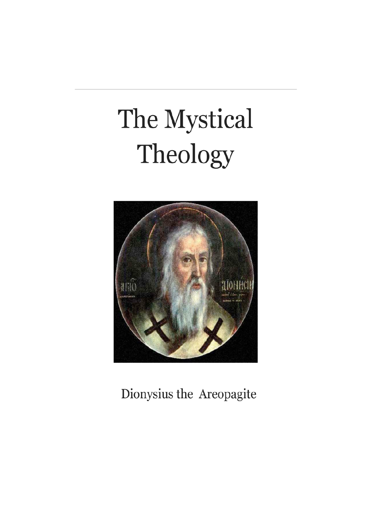# The Mystical Theology



Dionysius the Areopagite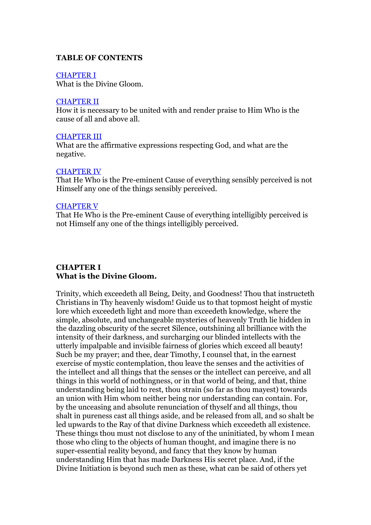## **TABLE OF CONTENTS**

#### [CHAPTER I](#page-1-0)

What is the Divine Gloom.

## [CHAPTER II](#page-2-0)

How it is necessary to be united with and render praise to Him Who is the cause of all and above all.

## [CHAPTER III](#page-3-0)

What are the affirmative expressions respecting God, and what are the negative.

## [CHAPTER IV](#page-4-0)

That He Who is the Pre-eminent Cause of everything sensibly perceived is not Himself any one of the things sensibly perceived.

#### [CHAPTER V](#page-4-1)

That He Who is the Pre-eminent Cause of everything intelligibly perceived is not Himself any one of the things intelligibly perceived.

## <span id="page-1-0"></span>**CHAPTER I What is the Divine Gloom.**

Trinity, which exceedeth all Being, Deity, and Goodness! Thou that instructeth Christians in Thy heavenly wisdom! Guide us to that topmost height of mystic lore which exceedeth light and more than exceedeth knowledge, where the simple, absolute, and unchangeable mysteries of heavenly Truth lie hidden in the dazzling obscurity of the secret Silence, outshining all brilliance with the intensity of their darkness, and surcharging our blinded intellects with the utterly impalpable and invisible fairness of glories which exceed all beauty! Such be my prayer; and thee, dear Timothy, I counsel that, in the earnest exercise of mystic contemplation, thou leave the senses and the activities of the intellect and all things that the senses or the intellect can perceive, and all things in this world of nothingness, or in that world of being, and that, thine understanding being laid to rest, thou strain (so far as thou mayest) towards an union with Him whom neither being nor understanding can contain. For, by the unceasing and absolute renunciation of thyself and all things, thou shalt in pureness cast all things aside, and be released from all, and so shalt be led upwards to the Ray of that divine Darkness which exceedeth all existence. These things thou must not disclose to any of the uninitiated, by whom I mean those who cling to the objects of human thought, and imagine there is no super-essential reality beyond, and fancy that they know by human understanding Him that has made Darkness His secret place. And, if the Divine Initiation is beyond such men as these, what can be said of others yet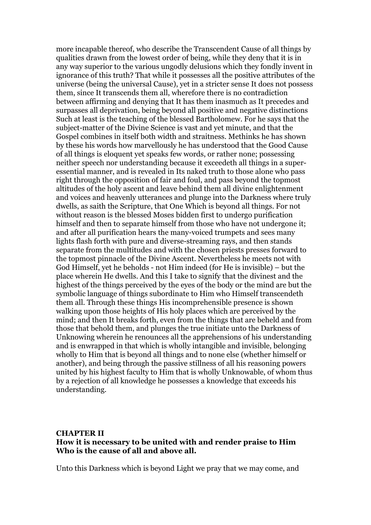more incapable thereof, who describe the Transcendent Cause of all things by qualities drawn from the lowest order of being, while they deny that it is in any way superior to the various ungodly delusions which they fondly invent in ignorance of this truth? That while it possesses all the positive attributes of the universe (being the universal Cause), yet in a stricter sense It does not possess them, since It transcends them all, wherefore there is no contradiction between affirming and denying that It has them inasmuch as It precedes and surpasses all deprivation, being beyond all positive and negative distinctions Such at least is the teaching of the blessed Bartholomew. For he says that the subject-matter of the Divine Science is vast and yet minute, and that the Gospel combines in itself both width and straitness. Methinks he has shown by these his words how marvellously he has understood that the Good Cause of all things is eloquent yet speaks few words, or rather none; possessing neither speech nor understanding because it exceedeth all things in a superessential manner, and is revealed in Its naked truth to those alone who pass right through the opposition of fair and foul, and pass beyond the topmost altitudes of the holy ascent and leave behind them all divine enlightenment and voices and heavenly utterances and plunge into the Darkness where truly dwells, as saith the Scripture, that One Which is beyond all things. For not without reason is the blessed Moses bidden first to undergo purification himself and then to separate himself from those who have not undergone it; and after all purification hears the many-voiced trumpets and sees many lights flash forth with pure and diverse-streaming rays, and then stands separate from the multitudes and with the chosen priests presses forward to the topmost pinnacle of the Divine Ascent. Nevertheless he meets not with God Himself, yet he beholds - not Him indeed (for He is invisible) – but the place wherein He dwells. And this I take to signify that the divinest and the highest of the things perceived by the eyes of the body or the mind are but the symbolic language of things subordinate to Him who Himself transcendeth them all. Through these things His incomprehensible presence is shown walking upon those heights of His holy places which are perceived by the mind; and then It breaks forth, even from the things that are beheld and from those that behold them, and plunges the true initiate unto the Darkness of Unknowing wherein he renounces all the apprehensions of his understanding and is enwrapped in that which is wholly intangible and invisible, belonging wholly to Him that is beyond all things and to none else (whether himself or another), and being through the passive stillness of all his reasoning powers united by his highest faculty to Him that is wholly Unknowable, of whom thus by a rejection of all knowledge he possesses a knowledge that exceeds his understanding.

# <span id="page-2-0"></span>**CHAPTER II How it is necessary to be united with and render praise to Him Who is the cause of all and above all.**

Unto this Darkness which is beyond Light we pray that we may come, and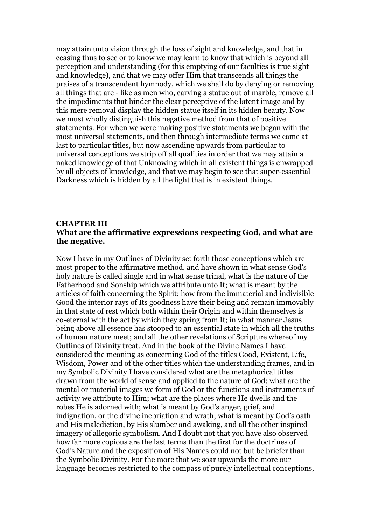may attain unto vision through the loss of sight and knowledge, and that in ceasing thus to see or to know we may learn to know that which is beyond all perception and understanding (for this emptying of our faculties is true sight and knowledge), and that we may offer Him that transcends all things the praises of a transcendent hymnody, which we shall do by denying or removing all things that are - like as men who, carving a statue out of marble, remove all the impediments that hinder the clear perceptive of the latent image and by this mere removal display the hidden statue itself in its hidden beauty. Now we must wholly distinguish this negative method from that of positive statements. For when we were making positive statements we began with the most universal statements, and then through intermediate terms we came at last to particular titles, but now ascending upwards from particular to universal conceptions we strip off all qualities in order that we may attain a naked knowledge of that Unknowing which in all existent things is enwrapped by all objects of knowledge, and that we may begin to see that super-essential Darkness which is hidden by all the light that is in existent things.

## <span id="page-3-0"></span>**CHAPTER III What are the affirmative expressions respecting God, and what are the negative.**

Now I have in my Outlines of Divinity set forth those conceptions which are most proper to the affirmative method, and have shown in what sense God's holy nature is called single and in what sense trinal, what is the nature of the Fatherhood and Sonship which we attribute unto It; what is meant by the articles of faith concerning the Spirit; how from the immaterial and indivisible Good the interior rays of Its goodness have their being and remain immovably in that state of rest which both within their Origin and within themselves is co-eternal with the act by which they spring from It; in what manner Jesus being above all essence has stooped to an essential state in which all the truths of human nature meet; and all the other revelations of Scripture whereof my Outlines of Divinity treat. And in the book of the Divine Names I have considered the meaning as concerning God of the titles Good, Existent, Life, Wisdom, Power and of the other titles which the understanding frames, and in my Symbolic Divinity I have considered what are the metaphorical titles drawn from the world of sense and applied to the nature of God; what are the mental or material images we form of God or the functions and instruments of activity we attribute to Him; what are the places where He dwells and the robes He is adorned with; what is meant by God's anger, grief, and indignation, or the divine inebriation and wrath; what is meant by God's oath and His malediction, by His slumber and awaking, and all the other inspired imagery of allegoric symbolism. And I doubt not that you have also observed how far more copious are the last terms than the first for the doctrines of God's Nature and the exposition of His Names could not but be briefer than the Symbolic Divinity. For the more that we soar upwards the more our language becomes restricted to the compass of purely intellectual conceptions,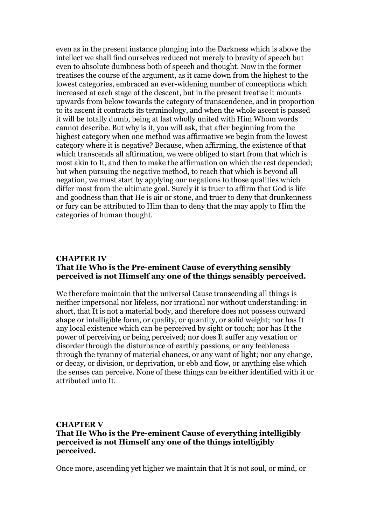even as in the present instance plunging into the Darkness which is above the intellect we shall find ourselves reduced not merely to brevity of speech but even to absolute dumbness both of speech and thought. Now in the former treatises the course of the argument, as it came down from the highest to the lowest categories, embraced an ever-widening number of conceptions which increased at each stage of the descent, but in the present treatise it mounts upwards from below towards the category of transcendence, and in proportion to its ascent it contracts its terminology, and when the whole ascent is passed it will be totally dumb, being at last wholly united with Him Whom words cannot describe. But why is it, you will ask, that after beginning from the highest category when one method was affirmative we begin from the lowest category where it is negative? Because, when affirming, the existence of that which transcends all affirmation, we were obliged to start from that which is most akin to It, and then to make the affirmation on which the rest depended; but when pursuing the negative method, to reach that which is beyond all negation, we must start by applying our negations to those qualities which differ most from the ultimate goal. Surely it is truer to affirm that God is life and goodness than that He is air or stone, and truer to deny that drunkenness or fury can be attributed to Him than to deny that the may apply to Him the categories of human thought.

# <span id="page-4-0"></span>**CHAPTER IV That He Who is the Pre-eminent Cause of everything sensibly perceived is not Himself any one of the things sensibly perceived.**

We therefore maintain that the universal Cause transcending all things is neither impersonal nor lifeless, nor irrational nor without understanding: in short, that It is not a material body, and therefore does not possess outward shape or intelligible form, or quality, or quantity, or solid weight; nor has It any local existence which can be perceived by sight or touch; nor has It the power of perceiving or being perceived; nor does It suffer any vexation or disorder through the disturbance of earthly passions, or any feebleness through the tyranny of material chances, or any want of light; nor any change, or decay, or division, or deprivation, or ebb and flow, or anything else which the senses can perceive. None of these things can be either identified with it or attributed unto It.

# <span id="page-4-1"></span>**CHAPTER V That He Who is the Pre-eminent Cause of everything intelligibly perceived is not Himself any one of the things intelligibly perceived.**

Once more, ascending yet higher we maintain that It is not soul, or mind, or